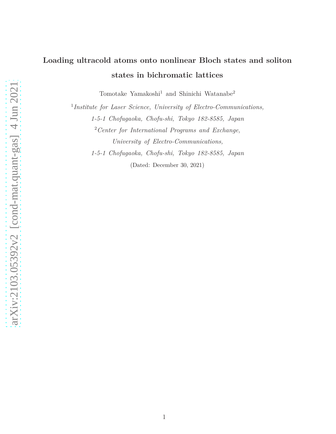# **Loading ultracold atoms onto nonlinear Bloch states and soliton states in bichromatic lattices**

Tomotake Yamakoshi<sup>1</sup> and Shinichi Watanabe<sup>2</sup>

1 *Institute for Laser Science, University of Electro-Communications, 1-5-1 Chofugaoka, Chofu-shi, Tokyo 182-8585, Japan* <sup>2</sup>*Center for International Programs and Exchange, University of Electro-Communications, 1-5-1 Chofugaoka, Chofu-shi, Tokyo 182-8585, Japan*

(Dated: December 30, 2021)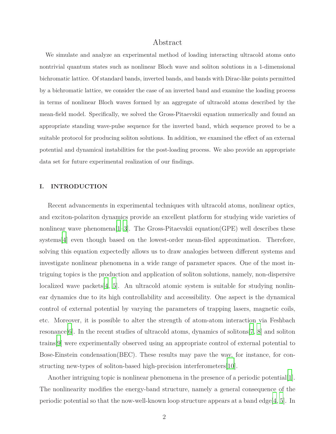# Abstract

We simulate and analyze an experimental method of loading interacting ultracold atoms onto nontrivial quantum states such as nonlinear Bloch wave and soliton solutions in a 1-dimensional bichromatic lattice. Of standard bands, inverted bands, and bands with Dirac-like points permitted by a bichromatic lattice, we consider the case of an inverted band and examine the loading process in terms of nonlinear Bloch waves formed by an aggregate of ultracold atoms described by the mean-field model. Specifically, we solved the Gross-Pitaevskii equation numerically and found an appropriate standing wave-pulse sequence for the inverted band, which sequence proved to be a suitable protocol for producing soliton solutions. In addition, we examined the effect of an external potential and dynamical instabilities for the post-loading process. We also provide an appropriate data set for future experimental realization of our findings.

# **I. INTRODUCTION**

Recent advancements in experimental techniques with ultracold atoms, nonlinear optics, and exciton-polariton dynamics provide an excellent platform for studying wide varieties of nonlinear wave phenomena<sup>[\[1](#page-28-0)[–3](#page-28-1)]</sup>. The Gross-Pitaevskii equation(GPE) well describes these systems[\[4](#page-28-2)] even though based on the lowest-order mean-filed approximation. Therefore, solving this equation expectedly allows us to draw analogies between different systems and investigate nonlinear phenomena in a wide range of parameter spaces. One of the most intriguing topics is the production and application of soliton solutions, namely, non-dispersive localized wave packets  $[4, 5]$  $[4, 5]$  $[4, 5]$  $[4, 5]$ . An ultracold atomic system is suitable for studying nonlinear dynamics due to its high controllability and accessibility. One aspect is the dynamical control of external potential by varying the parameters of trapping lasers, magnetic coils, etc. Moreover, it is possible to alter the strength of atom-atom interaction via Feshbach resonance[\[6](#page-28-4)]. In the recent studies of ultracold atoms, dynamics of solitons[\[7](#page-28-5), [8\]](#page-29-0) and soliton trains[\[9](#page-29-1)] were experimentally observed using an appropriate control of external potential to Bose-Einstein condensation(BEC). These results may pave the way, for instance, for constructing new-types of soliton-based high-precision interferometers[\[10\]](#page-29-2).

Another intriguing topic is nonlinear phenomena in the presence of a periodic potential. The nonlinearity modifies the energy-band structure, namely a general consequence of the periodic potential so that the now-well-known loop structure appears at a band edge $[4, 5]$  $[4, 5]$  $[4, 5]$  $[4, 5]$ . In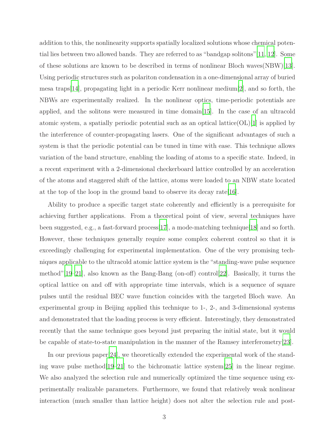addition to this, the nonlinearity supports spatially localized solutions whose chemical potential lies between two allowed bands. They are referred to as "bandgap solitons"[\[11,](#page-29-3) [12\]](#page-29-4). Some of these solutions are known to be described in terms of nonlinear Bloch waves(NBW)[\[13](#page-29-5)]. Using periodic structures such as polariton condensation in a one-dimensional array of buried mesa traps[\[14](#page-29-6)], propagating light in a periodic Kerr nonlinear medium[\[2](#page-28-6)], and so forth, the NBWs are experimentally realized. In the nonlinear optics, time-periodic potentials are applied, and the solitons were measured in time domain[\[15\]](#page-29-7). In the case of an ultracold atomic system, a spatially periodic potential such as an optical lattice $(OL)[1]$  $(OL)[1]$  is applied by the interference of counter-propagating lasers. One of the significant advantages of such a system is that the periodic potential can be tuned in time with ease. This technique allows variation of the band structure, enabling the loading of atoms to a specific state. Indeed, in a recent experiment with a 2-dimensional checkerboard lattice controlled by an acceleration of the atoms and staggered shift of the lattice, atoms were loaded to an NBW state located at the top of the loop in the ground band to observe its decay rate[\[16](#page-30-0)].

Ability to produce a specific target state coherently and efficiently is a prerequisite for achieving further applications. From a theoretical point of view, several techniques have been suggested, e.g., a fast-forward process[\[17\]](#page-30-1), a mode-matching technique[\[18](#page-30-2)] and so forth. However, these techniques generally require some complex coherent control so that it is exceedingly challenging for experimental implementation. One of the very promising techniques applicable to the ultracold atomic lattice system is the "standing-wave pulse sequence method" $[19-21]$  $[19-21]$ , also known as the Bang-Bang (on-off) control  $[22]$  $[22]$ . Basically, it turns the optical lattice on and off with appropriate time intervals, which is a sequence of square pulses until the residual BEC wave function coincides with the targeted Bloch wave. An experimental group in Beijing applied this technique to 1-, 2-, and 3-dimensional systems and demonstrated that the loading process is very efficient. Interestingly, they demonstrated recently that the same technique goes beyond just preparing the initial state, but it would be capable of state-to-state manipulation in the manner of the Ramsey interferometry[\[23](#page-30-6)].

In our previous paper[\[24](#page-30-7)], we theoretically extended the experimental work of the standing wave pulse method[\[19](#page-30-3)[–21](#page-30-4)] to the bichromatic lattice system[\[25\]](#page-30-8) in the linear regime. We also analyzed the selection rule and numerically optimized the time sequence using experimentally realizable parameters. Furthermore, we found that relatively weak nonlinear interaction (much smaller than lattice height) does not alter the selection rule and post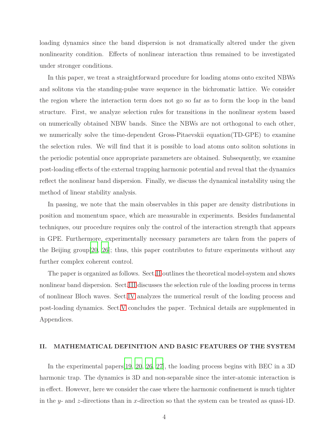loading dynamics since the band dispersion is not dramatically altered under the given nonlinearity condition. Effects of nonlinear interaction thus remained to be investigated under stronger conditions.

In this paper, we treat a straightforward procedure for loading atoms onto excited NBWs and solitons via the standing-pulse wave sequence in the bichromatic lattice. We consider the region where the interaction term does not go so far as to form the loop in the band structure. First, we analyze selection rules for transitions in the nonlinear system based on numerically obtained NBW bands. Since the NBWs are not orthogonal to each other, we numerically solve the time-dependent Gross-Pitaevskii equation(TD-GPE) to examine the selection rules. We will find that it is possible to load atoms onto soliton solutions in the periodic potential once appropriate parameters are obtained. Subsequently, we examine post-loading effects of the external trapping harmonic potential and reveal that the dynamics reflect the nonlinear band dispersion. Finally, we discuss the dynamical instability using the method of linear stability analysis.

In passing, we note that the main observables in this paper are density distributions in position and momentum space, which are measurable in experiments. Besides fundamental techniques, our procedure requires only the control of the interaction strength that appears in GPE. Furthermore, experimentally necessary parameters are taken from the papers of the Beijing group[\[20,](#page-30-9) [26\]](#page-30-10); thus, this paper contributes to future experiments without any further complex coherent control.

The paper is organized as follows. Sect[.II](#page-3-0) outlines the theoretical model-system and shows nonlinear band dispersion. Sect[.III](#page-7-0) discusses the selection rule of the loading process in terms of nonlinear Bloch waves. Sect[.IV](#page-8-0) analyzes the numerical result of the loading process and post-loading dynamics. Sect[.V](#page-22-0) concludes the paper. Technical details are supplemented in Appendices.

# <span id="page-3-0"></span>**II. MATHEMATICAL DEFINITION AND BASIC FEATURES OF THE SYSTEM**

In the experimental papers[\[19](#page-30-3), [20,](#page-30-9) [26,](#page-30-10) [27\]](#page-30-11), the loading process begins with BEC in a 3D harmonic trap. The dynamics is 3D and non-separable since the inter-atomic interaction is in effect. However, here we consider the case where the harmonic confinement is much tighter in the *y*- and *z*-directions than in *x*-direction so that the system can be treated as quasi-1D.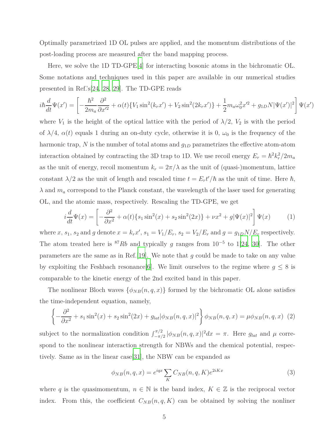Optimally parametrized 1D OL pulses are applied, and the momentum distributions of the post-loading process are measured after the band mapping process.

Here, we solve the 1D TD-GPE[\[4\]](#page-28-2) for interacting bosonic atoms in the bichromatic OL. Some notations and techniques used in this paper are available in our numerical studies presented in Ref.'s[\[24,](#page-30-7) [28,](#page-30-12) [29\]](#page-30-13). The TD-GPE reads

$$
i\hbar \frac{d}{dt}\Psi(x') = \left[ -\frac{\hbar^2}{2m_a} \frac{\partial^2}{\partial x'^2} + \alpha(t) \{ V_1 \sin^2(k_r x') + V_2 \sin^2(2k_r x') \} + \frac{1}{2} m_a \omega_0^2 x'^2 + g_{1D} N |\Psi(x')|^2 \right] \Psi(x')
$$

where  $V_1$  is the height of the optical lattice with the period of  $\lambda/2$ ,  $V_2$  is with the period of  $\lambda/4$ ,  $\alpha(t)$  equals 1 during an on-duty cycle, otherwise it is 0,  $\omega_0$  is the frequency of the harmonic trap, N is the number of total atoms and  $g_{1D}$  parametrizes the effective atom-atom interaction obtained by contracting the 3D trap to 1D. We use recoil energy  $E_r = \hbar^2 k_r^2 / 2m_a$ as the unit of energy, recoil momentum  $k_r = 2\pi/\lambda$  as the unit of (quasi-)momentum, lattice constant  $\lambda/2$  as the unit of length and rescaled time  $t = E_r t'/\hbar$  as the unit of time. Here  $\hbar$ , *λ* and  $m_a$  correspond to the Planck constant, the wavelength of the laser used for generating OL, and the atomic mass, respectively. Rescaling the TD-GPE, we get

<span id="page-4-1"></span>
$$
i\frac{d}{dt}\Psi(x) = \left[ -\frac{\partial^2}{\partial x^2} + \alpha(t)\{s_1 \sin^2(x) + s_2 \sin^2(2x)\} + \nu x^2 + g|\Psi(x)|^2 \right] \Psi(x) \tag{1}
$$

where x,  $s_1$ ,  $s_2$  and g denote  $x = k_r x'$ ,  $s_1 = V_1/E_r$ ,  $s_2 = V_2/E_r$  and  $g = g_{1D}N/E_r$  respectively. The atom treated here is <sup>87</sup>Rb and typically *g* ranges from  $10^{-5}$  to 1[\[24](#page-30-7), [30](#page-30-14)]. The other parameters are the same as in Ref.[\[19](#page-30-3)]. We note that *g* could be made to take on any value by exploiting the Feshbach resonance[\[6](#page-28-4)]. We limit ourselves to the regime where  $g \leq 8$  is comparable to the kinetic energy of the 2nd excited band in this paper.

The nonlinear Bloch waves  $\{\phi_{NB}(n, q, x)\}\$  formed by the bichromatic OL alone satisfies the time-independent equation, namely,

<span id="page-4-0"></span>
$$
\left\{-\frac{\partial^2}{\partial x^2} + s_1 \sin^2(x) + s_2 \sin^2(2x) + g_{lat} |\phi_{NB}(n, q, x)|^2\right\} \phi_{NB}(n, q, x) = \mu \phi_{NB}(n, q, x) \tag{2}
$$

subject to the normalization condition  $\int_{-\pi/2}^{\pi/2} |\phi_{NB}(n, q, x)|^2 dx = \pi$ . Here  $g_{lat}$  and  $\mu$  correspond to the nonlinear interaction strength for NBWs and the chemical potential, respectively. Same as in the linear case[\[31](#page-30-15)], the NBW can be expanded as

$$
\phi_{NB}(n,q,x) = e^{iqx} \sum_{K} C_{NB}(n,q,K) e^{2iKx}
$$
\n(3)

where q is the quasimomentum,  $n \in \mathbb{N}$  is the band index,  $K \in \mathbb{Z}$  is the reciprocal vector index. From this, the coefficient  $C_{NB}(n,q,K)$  can be obtained by solving the nonliner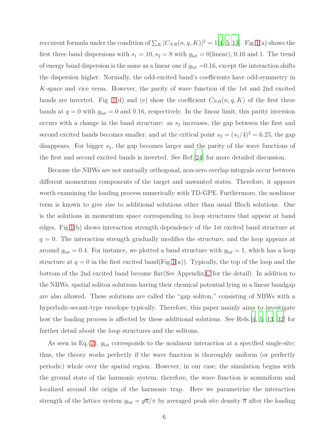reccurent formula under the condition of  $\sum_{K} |C_{NB}(n, q, K)|^2 = 1[4, 5, 13]$  $\sum_{K} |C_{NB}(n, q, K)|^2 = 1[4, 5, 13]$  $\sum_{K} |C_{NB}(n, q, K)|^2 = 1[4, 5, 13]$  $\sum_{K} |C_{NB}(n, q, K)|^2 = 1[4, 5, 13]$  $\sum_{K} |C_{NB}(n, q, K)|^2 = 1[4, 5, 13]$ . Fig[.1\(](#page-6-0)a) shows the first three band dispersions with  $s_1 = 10$ ,  $s_2 = 8$  with  $g_{lat} = 0$ (linear), 0.16 and 1. The trend of energy band dispersion is the same as a linear one if  $g_{lat} = 0.16$ , except the interaction shifts the dispersion higher. Normally, the odd-excited band's coefficients have odd-symmetry in *K*-space and vice versa. However, the parity of wave function of the 1st and 2nd excited bands are inverted. Fig [.1\(](#page-6-0)d) and (e) show the coefficient  $C_{NB}(n, q, K)$  of the first three bands at  $q = 0$  with  $g_{lat} = 0$  and 0.16, respectively. In the linear limit, this parity inversion occurs with a change in the band structure: as  $s_2$  increases, the gap between the first and second excited bands becomes smaller, and at the critical point  $s_2 = (s_1/4)^2 = 6.25$ , the gap disappears. For bigger *s*2, the gap becomes larger and the parity of the wave functions of the first and second excited bands is inverted. See Ref.[\[24\]](#page-30-7) for more detailed discussion.

Because the NBWs are not mutually orthogonal, non-zero overlap integrals occur between different momentum components of the target and unwanted states. Therefore, it appears worth examining the loading process numerically with TD-GPE. Furthermore, the nonlinear term is known to give rise to additional solutions other than usual Bloch solutions. One is the solutions in momentum space corresponding to loop structures that appear at band edges. Fig[.1\(](#page-6-0)b) shows interaction strength dependency of the 1st excited band structure at  $q = 0$ . The interaction strength gradually modifies the structure, and the loop appears at around  $g_{lat} = 0.4$ . For instance, we plotted a band structure with  $g_{lat} = 1$ , which has a loop structure at  $q = 0$  in the first excited band(Fig[.1\(](#page-6-0)a)). Typically, the top of the loop and the bottom of the 2nd excited band become flat(See Appendix[.C](#page-27-0) for the detail). In addition to the NBWs, spatial soliton solutions having their chemical potential lying in a linear bandgap are also allowed. These solutions are called the "gap soliton," consisting of NBWs with a hyperbolic-secant-type envelope typically. Therefore, this paper mainly aims to investigate how the loading process is affected by these additional solutions. See Refs.[\[4,](#page-28-2) [5,](#page-28-3) [13,](#page-29-5) [32\]](#page-30-16) for further detail about the loop structures and the solitons.

As seen in Eq.[\(2\)](#page-4-0), *glat* corresponds to the nonlinear interaction at a specified single-site; thus, the theory works perfectly if the wave function is thoroughly uniform (or perfectly periodic) whole over the spatial region. However, in our case, the simulation begins with the ground state of the harmonic system; therefore, the wave function is nonuniform and localized around the origin of the harmonic trap. Here we parametrize the interaction strength of the lattice system  $g_{lat} = g\overline{n}/\pi$  by averaged peak site density  $\overline{n}$  after the loading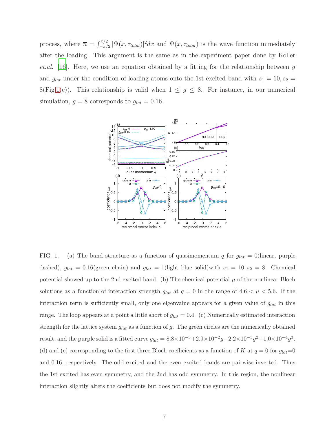process, where  $\overline{n} = \int_{-\pi/2}^{\pi/2} |\Psi(x, \tau_{total})|^2 dx$  and  $\Psi(x, \tau_{total})$  is the wave function immediately after the loading. This argument is the same as in the experiment paper done by Koller *et.al.* [\[16\]](#page-30-0). Here, we use an equation obtained by a fitting for the relationship between *g* and  $g_{lat}$  under the condition of loading atoms onto the 1st excited band with  $s_1 = 10, s_2 =$ 8(Fig[.1\(](#page-6-0)c)). This relationship is valid when  $1 \leq g \leq 8$ . For instance, in our numerical simulation,  $g = 8$  corresponds to  $g_{lat} = 0.16$ .



<span id="page-6-0"></span>FIG. 1. (a) The band structure as a function of quasimomentum *q* for  $g_{lat} = 0$ (linear, purple dashed),  $g_{lat} = 0.16$ (green chain) and  $g_{lat} = 1$ (light blue solid)with  $s_1 = 10, s_2 = 8$ . Chemical potential showed up to the 2nd excited band. (b) The chemical potential  $\mu$  of the nonlinear Bloch solutions as a function of interaction strength  $g_{lat}$  at  $q = 0$  in the range of  $4.6 < \mu < 5.6$ . If the interaction term is sufficiently small, only one eigenvalue appears for a given value of *glat* in this range. The loop appears at a point a little short of  $g_{lat} = 0.4$ . (c) Numerically estimated interaction strength for the lattice system *glat* as a function of *g*. The green circles are the numerically obtained result, and the purple solid is a fitted curve  $g_{lat} = 8.8 \times 10^{-3} + 2.9 \times 10^{-2} g - 2.2 \times 10^{-3} g^2 + 1.0 \times 10^{-4} g^3$ . (d) and (e) corresponding to the first three Bloch coefficients as a function of *K* at  $q = 0$  for  $g_{lat} = 0$ and 0.16, respectively. The odd excited and the even excited bands are pairwise inverted. Thus the 1st excited has even symmetry, and the 2nd has odd symmetry. In this region, the nonlinear interaction slightly alters the coefficients but does not modify the symmetry.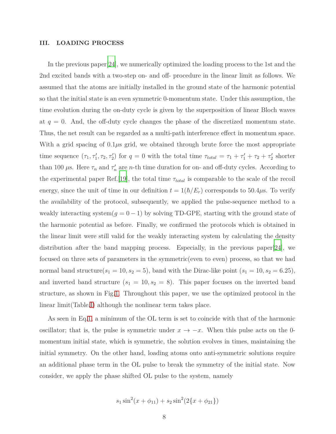# <span id="page-7-0"></span>**III. LOADING PROCESS**

In the previous paper[\[24](#page-30-7)], we numerically optimized the loading process to the 1st and the 2nd excited bands with a two-step on- and off- procedure in the linear limit as follows. We assumed that the atoms are initially installed in the ground state of the harmonic potential so that the initial state is an even symmetric 0-momentum state. Under this assumption, the time evolution during the on-duty cycle is given by the superposition of linear Bloch waves at  $q = 0$ . And, the off-duty cycle changes the phase of the discretized momentum state. Thus, the net result can be regarded as a multi-path interference effect in momentum space. With a grid spacing of 0.1 $\mu$ s grid, we obtained through brute force the most appropriate time sequence  $(\tau_1, \tau'_1, \tau_2, \tau'_2)$  for  $q = 0$  with the total time  $\tau_{total} = \tau_1 + \tau'_1 + \tau_2 + \tau'_2$  $\frac{1}{2}$  shorter than 100  $\mu$ s. Here  $\tau_n$  and  $\tau'_n$  $n'$  are *n*-th time duration for on- and off-duty cycles. According to the experimental paper Ref.[\[19](#page-30-3)], the total time *τtotal* is comparable to the scale of the recoil energy, since the unit of time in our definition  $t = 1(h/E_r)$  corresponds to 50.4 $\mu$ s. To verify the availability of the protocol, subsequently, we applied the pulse-sequence method to a weakly interacting system $(g = 0 - 1)$  by solving TD-GPE, starting with the ground state of the harmonic potential as before. Finally, we confirmed the protocols which is obtained in the linear limit were still valid for the weakly interacting system by calculating the density distribution after the band mapping process. Especially, in the previous paper[\[24](#page-30-7)], we focused on three sets of parameters in the symmetric(even to even) process, so that we had normal band structure( $s_1 = 10, s_2 = 5$ ), band with the Dirac-like point ( $s_1 = 10, s_2 = 6.25$ ), and inverted band structure  $(s_1 = 10, s_2 = 8)$ . This paper focuses on the inverted band structure, as shown in Fig[.1.](#page-6-0) Throughout this paper, we use the optimized protocol in the linear limit(Table[.I\)](#page-9-0) although the nonlinear term takes place.

As seen in Eq[.1,](#page-4-1) a minimum of the OL term is set to coincide with that of the harmonic oscillator; that is, the pulse is symmetric under  $x \to -x$ . When this pulse acts on the 0momentum initial state, which is symmetric, the solution evolves in times, maintaining the initial symmetry. On the other hand, loading atoms onto anti-symmetric solutions require an additional phase term in the OL pulse to break the symmetry of the initial state. Now consider, we apply the phase shifted OL pulse to the system, namely

$$
s_1 \sin^2(x + \phi_{11}) + s_2 \sin^2(2\{x + \phi_{21}\})
$$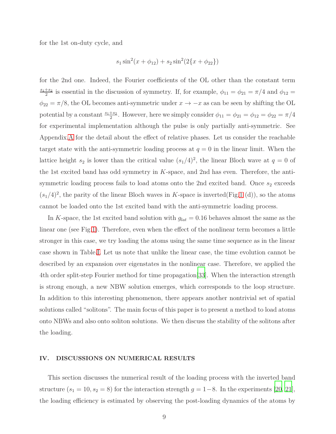for the 1st on-duty cycle, and

$$
s_1 \sin^2(x + \phi_{12}) + s_2 \sin^2(2\{x + \phi_{22}\})
$$

for the 2nd one. Indeed, the Fourier coefficients of the OL other than the constant term *s*1+*s*2  $\frac{+s_2}{2}$  is essential in the discussion of symmetry. If, for example,  $\phi_{11} = \phi_{21} = \pi/4$  and  $\phi_{12} =$  $\phi_{22} = \pi/8$ , the OL becomes anti-symmetric under  $x \to -x$  as can be seen by shifting the OL potential by a constant  $\frac{s_1+s_2}{2}$ . However, here we simply consider  $\phi_{11} = \phi_{21} = \phi_{12} = \phi_{22} = \pi/4$ for experimental implementation although the pulse is only partially anti-symmetric. See Appendix[.A](#page-24-0) for the detail about the effect of relative phases. Let us consider the reachable target state with the anti-symmetric loading process at  $q = 0$  in the linear limit. When the lattice height  $s_2$  is lower than the critical value  $(s_1/4)^2$ , the linear Bloch wave at  $q=0$  of the 1st excited band has odd symmetry in *K*-space, and 2nd has even. Therefore, the antisymmetric loading process fails to load atoms onto the 2nd excited band. Once  $s_2$  exceeds  $(s_1/4)^2$ , the parity of the linear Bloch waves in *K*-space is inverted(Fig[.1](#page-6-0) (d)), so the atoms cannot be loaded onto the 1st excited band with the anti-symmetric loading process.

In *K*-space, the 1st excited band solution with  $g_{lat} = 0.16$  behaves almost the same as the linear one (see Fig[.1\)](#page-6-0). Therefore, even when the effect of the nonlinear term becomes a little stronger in this case, we try loading the atoms using the same time sequence as in the linear case shown in Table[.I.](#page-9-0) Let us note that unlike the linear case, the time evolution cannot be described by an expansion over eigenstates in the nonlinear case. Therefore, we applied the 4th order split-step Fourier method for time propagation[\[33](#page-30-17)]. When the interaction strength is strong enough, a new NBW solution emerges, which corresponds to the loop structure. In addition to this interesting phenomenon, there appears another nontrivial set of spatial solutions called "solitons". The main focus of this paper is to present a method to load atoms onto NBWs and also onto soliton solutions. We then discuss the stability of the solitons after the loading.

# <span id="page-8-0"></span>**IV. DISCUSSIONS ON NUMERICAL RESULTS**

This section discusses the numerical result of the loading process with the inverted band structure  $(s_1 = 10, s_2 = 8)$  for the interaction strength  $g = 1-8$ . In the experiments [\[20,](#page-30-9) [21\]](#page-30-4), the loading efficiency is estimated by observing the post-loading dynamics of the atoms by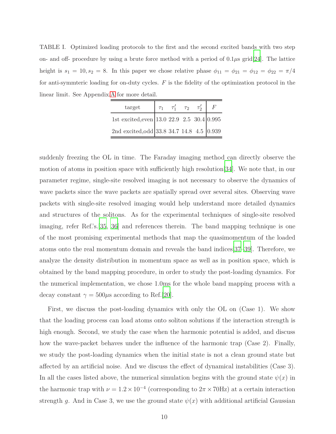<span id="page-9-0"></span>TABLE I. Optimized loading protocols to the first and the second excited bands with two step on- and off- procedure by using a brute force method with a period of  $0.1\mu s$  grid [\[24](#page-30-7)]. The lattice height is  $s_1 = 10, s_2 = 8$ . In this paper we chose relative phase  $\phi_{11} = \phi_{21} = \phi_{12} = \phi_{22} = \pi/4$ for anti-symmteric loading for on-duty cycles. *F* is the fidelity of the optimization protocol in the linear limit. See Appendix[.A](#page-24-0) for more detail.

| target                                     | $\begin{array}{ccc} & \tau_1 & \tau_1' & \tau_2 & \tau_2' \end{array}$ |  |  |
|--------------------------------------------|------------------------------------------------------------------------|--|--|
| 1st excited, even 13.0 22.9 2.5 30.4 0.995 |                                                                        |  |  |
| 2nd excited, odd 33.8 34.7 14.8 4.5 0.939  |                                                                        |  |  |

suddenly freezing the OL in time. The Faraday imaging method can directly observe the motion of atoms in position space with sufficiently high resolution[\[34\]](#page-30-18). We note that, in our parameter regime, single-site resolved imaging is not necessary to observe the dynamics of wave packets since the wave packets are spatially spread over several sites. Observing wave packets with single-site resolved imaging would help understand more detailed dynamics and structures of the solitons. As for the experimental techniques of single-site resolved imaging, refer Ref.'s.[\[35](#page-31-0), [36](#page-31-1)] and references therein. The band mapping technique is one of the most promising experimental methods that map the quasimomentum of the loaded atoms onto the real momentum domain and reveals the band indices[\[37](#page-31-2)[–39\]](#page-31-3). Therefore, we analyze the density distribution in momentum space as well as in position space, which is obtained by the band mapping procedure, in order to study the post-loading dynamics. For the numerical implementation, we chose 1.0ms for the whole band mapping process with a decay constant  $\gamma = 500\mu s$  according to Ref.[\[20\]](#page-30-9).

First, we discuss the post-loading dynamics with only the OL on (Case 1). We show that the loading process can load atoms onto soliton solutions if the interaction strength is high enough. Second, we study the case when the harmonic potential is added, and discuss how the wave-packet behaves under the influence of the harmonic trap (Case 2). Finally, we study the post-loading dynamics when the initial state is not a clean ground state but affected by an artificial noise. And we discuss the effect of dynamical instabilities (Case 3). In all the cases listed above, the numerical simulation begins with the ground state  $\psi(x)$  in the harmonic trap with  $\nu = 1.2 \times 10^{-4}$  (corresponding to  $2\pi \times 70$ Hz) at a certain interaction strength *g*. And in Case 3, we use the ground state  $\psi(x)$  with additional artificial Gaussian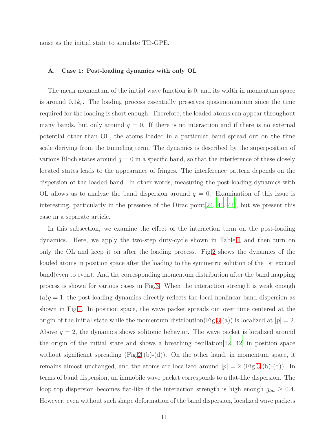noise as the initial state to simulate TD-GPE.

#### **A. Case 1: Post-loading dynamics with only OL**

The mean momentum of the initial wave function is 0, and its width in momentum space is around  $0.1k_r$ . The loading process essentially preserves quasimomentum since the time required for the loading is short enough. Therefore, the loaded atoms can appear throughout many bands, but only around  $q = 0$ . If there is no interaction and if there is no external potential other than OL, the atoms loaded in a particular band spread out on the time scale deriving from the tunneling term. The dynamics is described by the superposition of various Bloch states around  $q = 0$  in a specific band, so that the interference of these closely located states leads to the appearance of fringes. The interference pattern depends on the dispersion of the loaded band. In other words, measuring the post-loading dynamics with OL allows us to analyze the band dispersion around  $q = 0$ . Examination of this issue is interesting, particularly in the presence of the Dirac point[\[24](#page-30-7), [40,](#page-31-4) [41](#page-31-5)], but we present this case in a separate article.

In this subsection, we examine the effect of the interaction term on the post-loading dynamics. Here, we apply the two-step duty-cycle shown in Table[.I,](#page-9-0) and then turn on only the OL and keep it on after the loading process. Fig[.2](#page-13-0) shows the dynamics of the loaded atoms in position space after the loading to the symmetric solution of the 1st excited band(even to even). And the corresponding momentum distribution after the band mapping process is shown for various cases in Fig[.3.](#page-14-0) When the interaction strength is weak enough  $(a)g = 1$ , the post-loading dynamics directly reflects the local nonlinear band dispersion as shown in Fig[.1.](#page-6-0) In position space, the wave packet spreads out over time centered at the origin of the initial state while the momentum distribution(Fig[.3](#page-14-0) (a)) is localized at  $|p|=2$ . Above  $g = 2$ , the dynamics shows solitonic behavior. The wave packet is localized around the origin of the initial state and shows a breathing oscillation[\[12,](#page-29-4) [42](#page-31-6)] in position space without significant spreading  $(Fig.2 (b)-(d))$  $(Fig.2 (b)-(d))$  $(Fig.2 (b)-(d))$ . On the other hand, in momentum space, it remains almost unchanged, and the atoms are localized around  $|p| = 2$  (Fig[.3](#page-14-0) (b)-(d)). In terms of band dispersion, an immobile wave packet corresponds to a flat-like dispersion. The loop top dispersion becomes flat-like if the interaction strength is high enough  $g_{lat} \geq 0.4$ . However, even without such shape deformation of the band dispersion, localized wave packets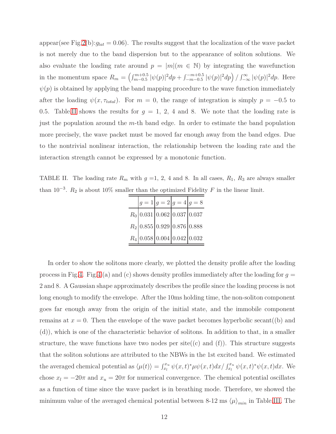appear(see Fig.  $2(b):g_{lat} = 0.06$ ). The results suggest that the localization of the wave packet is not merely due to the band dispersion but to the appearance of soliton solutions. We also evaluate the loading rate around  $p = |m|(m \in \mathbb{N})$  by integrating the wavefunction in the momentum space  $R_m = \left(\int_{m-0.5}^{m+0.5} |\psi(p)|^2 dp + \int_{-m-0.5}^{-m+0.5} |\psi(p)|^2 dp\right) / \int_{-\infty}^{\infty} |\psi(p)|^2 dp$ . Here  $\psi(p)$  is obtained by applying the band mapping procedure to the wave function immediately after the loading  $\psi(x, \tau_{total})$ . For  $m = 0$ , the range of integration is simply  $p = -0.5$  to 0.5. Table[.II](#page-11-0) shows the results for  $g = 1, 2, 4$  and 8. We note that the loading rate is just the population around the *m*-th band edge. In order to estimate the band population more precisely, the wave packet must be moved far enough away from the band edges. Due to the nontrivial nonlinear interaction, the relationship between the loading rate and the interaction strength cannot be expressed by a monotonic function.

<span id="page-11-0"></span>TABLE II. The loading rate  $R_m$  with  $g = 1, 2, 4$  and 8. In all cases,  $R_1, R_3$  are always smaller than  $10^{-3}$ .  $R_2$  is about  $10\%$  smaller than the optimized Fidelity *F* in the linear limit.

|  | $ g=1 g=2 g=4 g=8$                    |  |
|--|---------------------------------------|--|
|  | $R_0$ 0.031 0.062 0.037 0.037         |  |
|  | $R_2$   0.855   0.929   0.876   0.888 |  |
|  | $R_4$ 0.058 0.004 0.042 0.032         |  |

In order to show the solitons more clearly, we plotted the density profile after the loading process in Fig[.4.](#page-15-0) Fig[.4](#page-15-0) (a) and (c) shows density profiles immediately after the loading for  $q =$ 2 and 8. A Gaussian shape approximately describes the profile since the loading process is not long enough to modify the envelope. After the 10ms holding time, the non-soliton component goes far enough away from the origin of the initial state, and the immobile component remains at  $x = 0$ . Then the envelope of the wave packet becomes hyperbolic secant((b) and (d)), which is one of the characteristic behavior of solitons. In addition to that, in a smaller structure, the wave functions have two nodes per  $\text{site}((c)$  and  $(f)$ ). This structure suggests that the soliton solutions are attributed to the NBWs in the 1st excited band. We estimated the averaged chemical potential as  $\langle \mu(t) \rangle = \int_{x_l}^{x_u} \psi(x,t)^* \mu \psi(x,t) dx / \int_{x_l}^{x_u} \psi(x,t)^* \psi(x,t) dx$ . We chose  $x_l = -20\pi$  and  $x_u = 20\pi$  for numerical convergence. The chemical potential oscillates as a function of time since the wave packet is in breathing mode. Therefore, we showed the minimum value of the averaged chemical potential between 8-12 ms  $\langle \mu \rangle_{min}$  in Table[.III.](#page-12-0) The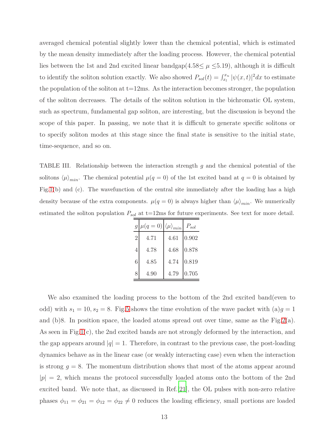averaged chemical potential slightly lower than the chemical potential, which is estimated by the mean density immediately after the loading process. However, the chemical potential lies between the 1st and 2nd excited linear bandgap( $4.58 \leq \mu \leq 5.19$ ), although it is difficult to identify the soliton solution exactly. We also showed  $P_{sol}(t) = \int_{x_l}^{x_u} |\psi(x, t)|^2 dx$  to estimate the population of the soliton at  $t=12$ ms. As the interaction becomes stronger, the population of the soliton decreases. The details of the soliton solution in the bichromatic OL system, such as spectrum, fundamental gap soliton, are interesting, but the discussion is beyond the scope of this paper. In passing, we note that it is difficult to generate specific solitons or to specify soliton modes at this stage since the final state is sensitive to the initial state, time-sequence, and so on.

<span id="page-12-0"></span>TABLE III. Relationship between the interaction strength *g* and the chemical potential of the solitons  $\langle \mu \rangle_{min}$ . The chemical potential  $\mu(q = 0)$  of the 1st excited band at  $q = 0$  is obtained by Fig[.1\(](#page-6-0)b) and (c). The wavefunction of the central site immediately after the loading has a high density because of the extra components.  $\mu(q=0)$  is always higher than  $\langle \mu \rangle_{min}$ . We numerically estimated the soliton population  $P_{sol}$  at t=12ms for future experiments. See text for more detail.

| $\mathfrak g$  | $\mu(q=0)$ | $\langle \mu \rangle_{min}$ | $P_{sol}$ |
|----------------|------------|-----------------------------|-----------|
| $\overline{2}$ | 4.71       | 4.61                        | 0.902     |
| $\overline{4}$ | 4.78       | 4.68                        | 0.878     |
| 6              | 4.85       | 4.74                        | 0.819     |
| 8              | 4.90       | 4.79                        | 0.705     |

We also examined the loading process to the bottom of the 2nd excited band(even to odd) with  $s_1 = 10$ ,  $s_2 = 8$ . Fig[.5](#page-16-0) shows the time evolution of the wave packet with  $(a)g = 1$ and (b)8. In position space, the loaded atoms spread out over time, same as the Fig[.2\(](#page-13-0)a). As seen in Fig[.1\(](#page-6-0)c), the 2nd excited bands are not strongly deformed by the interaction, and the gap appears around  $|q| = 1$ . Therefore, in contrast to the previous case, the post-loading dynamics behave as in the linear case (or weakly interacting case) even when the interaction is strong  $g = 8$ . The momentum distribution shows that most of the atoms appear around  $|p| = 2$ , which means the protocol successfully loaded atoms onto the bottom of the 2nd excited band. We note that, as discussed in Ref.[\[21\]](#page-30-4), the OL pulses with non-zero relative phases  $\phi_{11} = \phi_{21} = \phi_{12} = \phi_{22} \neq 0$  reduces the loading efficiency, small portions are loaded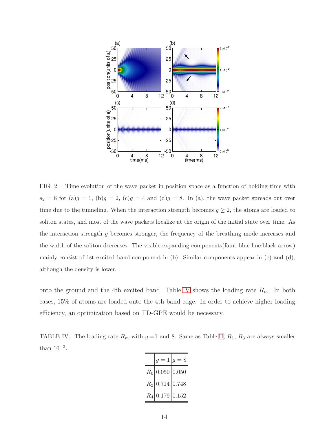

<span id="page-13-0"></span>FIG. 2. Time evolution of the wave packet in position space as a function of holding time with  $s_2 = 8$  for (a) $g = 1$ , (b) $g = 2$ , (c) $g = 4$  and (d) $g = 8$ . In (a), the wave packet spreads out over time due to the tunneling. When the interaction strength becomes  $g \geq 2$ , the atoms are loaded to soliton states, and most of the wave packets localize at the origin of the initial state over time. As the interaction strength *g* becomes stronger, the frequency of the breathing mode increases and the width of the soliton decreases. The visible expanding components(faint blue line:black arrow) mainly consist of 1st excited band component in (b). Similar components appear in (c) and (d), although the density is lower.

onto the ground and the 4th excited band. Table[.IV](#page-13-1) shows the loading rate *Rm*. In both cases, 15% of atoms are loaded onto the 4th band-edge. In order to achieve higher loading efficiency, an optimization based on TD-GPE would be necessary.

<span id="page-13-1"></span>TABLE IV. The loading rate  $R_m$  with  $g =1$  and 8. Same as Table[.II,](#page-11-0)  $R_1$ ,  $R_3$  are always smaller than  $10^{-3}$ .

| $g = 1   g = 8$   |  |
|-------------------|--|
| $R_0$ 0.050 0.050 |  |
| $R_2$ 0.714 0.748 |  |
| $R_4$ 0.179 0.152 |  |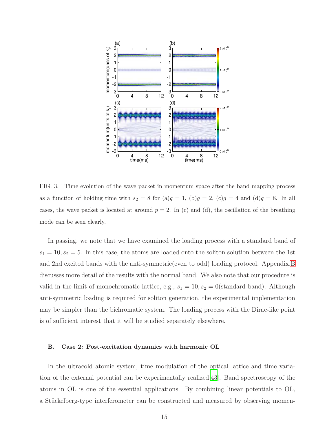

<span id="page-14-0"></span>FIG. 3. Time evolution of the wave packet in momentum space after the band mapping process as a function of holding time with  $s_2 = 8$  for (a) $g = 1$ , (b) $g = 2$ , (c) $g = 4$  and (d) $g = 8$ . In all cases, the wave packet is located at around  $p = 2$ . In (c) and (d), the oscillation of the breathing mode can be seen clearly.

In passing, we note that we have examined the loading process with a standard band of  $s_1 = 10, s_2 = 5$ . In this case, the atoms are loaded onto the soliton solution between the 1st and 2nd excited bands with the anti-symmetric(even to odd) loading protocol. Appendix[.B](#page-26-0) discusses more detail of the results with the normal band. We also note that our procedure is valid in the limit of monochromatic lattice, e.g.,  $s_1 = 10$ ,  $s_2 = 0$  (standard band). Although anti-symmetric loading is required for soliton generation, the experimental implementation may be simpler than the bichromatic system. The loading process with the Dirac-like point is of sufficient interest that it will be studied separately elsewhere.

#### **B. Case 2: Post-excitation dynamics with harmonic OL**

In the ultracold atomic system, time modulation of the optical lattice and time variation of the external potential can be experimentally realized[\[43](#page-31-7)]. Band spectroscopy of the atoms in OL is one of the essential applications. By combining linear potentials to OL, a Stückelberg-type interferometer can be constructed and measured by observing momen-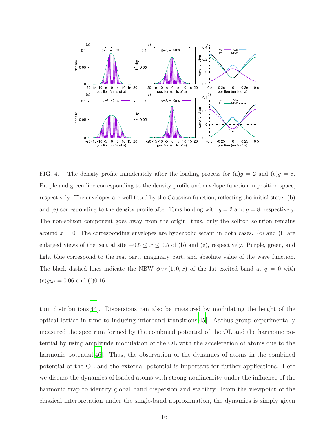

<span id="page-15-0"></span>FIG. 4. The density profile immdeiately after the loading process for  $(a)g = 2$  and  $(c)g = 8$ . Purple and green line corresponding to the density profile and envelope function in position space, respectively. The envelopes are well fitted by the Gaussian function, reflecting the initial state. (b) and (e) corresponding to the density profile after 10ms holding with  $g = 2$  and  $g = 8$ , respectively. The non-soliton component goes away from the origin; thus, only the soliton solution remains around  $x = 0$ . The corresponding envelopes are hyperbolic secant in both cases. (c) and (f) are enlarged views of the central site  $-0.5 \le x \le 0.5$  of (b) and (e), respectively. Purple, green, and light blue correspond to the real part, imaginary part, and absolute value of the wave function. The black dashed lines indicate the NBW  $\phi_{NB}(1,0,x)$  of the 1st excited band at  $q = 0$  with  $(c)g_{lat} = 0.06$  and (f)0.16.

tum distributions[\[44](#page-31-8)]. Dispersions can also be measured by modulating the height of the optical lattice in time to inducing interband transitions[\[45\]](#page-31-9). Aarhus group experimentally measured the spectrum formed by the combined potential of the OL and the harmonic potential by using amplitude modulation of the OL with the acceleration of atoms due to the harmonic potential [\[46\]](#page-31-10). Thus, the observation of the dynamics of atoms in the combined potential of the OL and the external potential is important for further applications. Here we discuss the dynamics of loaded atoms with strong nonlinearity under the influence of the harmonic trap to identify global band dispersion and stability. From the viewpoint of the classical interpretation under the single-band approximation, the dynamics is simply given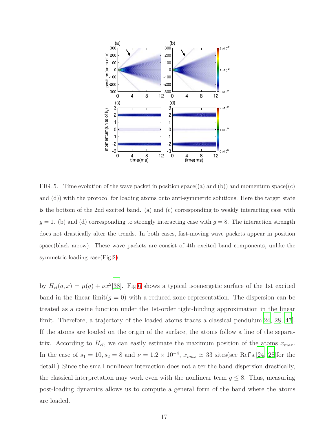

<span id="page-16-0"></span>FIG. 5. Time evolution of the wave packet in position space((a) and (b)) and momentum space((c) and (d)) with the protocol for loading atoms onto anti-symmetric solutions. Here the target state is the bottom of the 2nd excited band. (a) and (c) corresponding to weakly interacting case with  $g = 1$ . (b) and (d) corresponding to strongly interacting case with  $g = 8$ . The interaction strength does not drastically alter the trends. In both cases, fast-moving wave packets appear in position space(black arrow). These wave packets are consist of 4th excited band components, unlike the symmetric loading case(Fig[.2\)](#page-13-0).

by  $H_{cl}(q, x) = \mu(q) + \nu x^2[38]$  $H_{cl}(q, x) = \mu(q) + \nu x^2[38]$ . Fig[.6](#page-17-0) shows a typical isoenergetic surface of the 1st excited band in the linear limit( $g = 0$ ) with a reduced zone representation. The dispersion can be treated as a cosine function under the 1st-order tight-binding approximation in the linear limit. Therefore, a trajectory of the loaded atoms traces a classical pendulum $[24, 28, 47]$  $[24, 28, 47]$  $[24, 28, 47]$  $[24, 28, 47]$ . If the atoms are loaded on the origin of the surface, the atoms follow a line of the separatrix. According to  $H_{cl}$ , we can easily estimate the maximum position of the atoms  $x_{max}$ . In the case of  $s_1 = 10, s_2 = 8$  and  $\nu = 1.2 \times 10^{-4}, x_{max} \approx 33$  sites(see Ref's.[\[24](#page-30-7), [28\]](#page-30-12)for the detail.) Since the small nonlinear interaction does not alter the band dispersion drastically, the classical interpretation may work even with the nonlinear term  $g \leq 8$ . Thus, measuring post-loading dynamics allows us to compute a general form of the band where the atoms are loaded.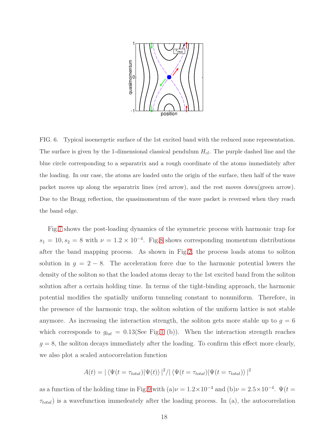

<span id="page-17-0"></span>FIG. 6. Typical isoenergetic surface of the 1st excited band with the reduced zone representation. The surface is given by the 1-dimensional classical pendulum *Hcl*. The purple dashed line and the blue circle corresponding to a separatrix and a rough coordinate of the atoms immediately after the loading. In our case, the atoms are loaded onto the origin of the surface, then half of the wave packet moves up along the separatrix lines (red arrow), and the rest moves down(green arrow). Due to the Bragg reflection, the quasimomentum of the wave packet is reversed when they reach the band edge.

Fig[.7](#page-18-0) shows the post-loading dynamics of the symmetric process with harmonic trap for  $s_1 = 10, s_2 = 8$  with  $\nu = 1.2 \times 10^{-4}$ . Fig[.8](#page-19-0) shows corresponding momentum distributions after the band mapping process. As shown in Fig[.2,](#page-13-0) the process loads atoms to soliton solution in  $g = 2 - 8$ . The acceleration force due to the harmonic potential lowers the density of the soliton so that the loaded atoms decay to the 1st excited band from the soliton solution after a certain holding time. In terms of the tight-binding approach, the harmonic potential modifies the spatially uniform tunneling constant to nonuniform. Therefore, in the presence of the harmonic trap, the soliton solution of the uniform lattice is not stable anymore. As increasing the interaction strength, the soliton gets more stable up to  $g = 6$ which corresponds to  $g_{lat} = 0.13$  $g_{lat} = 0.13$  $g_{lat} = 0.13$ (See Fig.1 (b)). When the interaction strength reaches  $g = 8$ , the soliton decays immediately after the loading. To confirm this effect more clearly, we also plot a scaled autocorrelation function

$$
A(t) = |\langle \Psi(t = \tau_{total}) | \Psi(t) \rangle|^2 / |\langle \Psi(t = \tau_{total}) | \Psi(t = \tau_{total}) \rangle|^2
$$

as a function of the holding time in Fig[.9](#page-19-1) with (a) $\nu = 1.2 \times 10^{-4}$  and (b) $\nu = 2.5 \times 10^{-4}$ .  $\Psi(t =$ *τtotal*) is a wavefunction immedeately after the loading process. In (a), the autocorrelation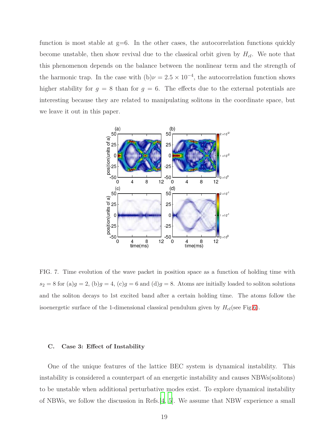function is most stable at  $g=6$ . In the other cases, the autocorrelation functions quickly become unstable, then show revival due to the classical orbit given by *Hcl*. We note that this phenomenon depends on the balance between the nonlinear term and the strength of the harmonic trap. In the case with  $(b)\nu = 2.5 \times 10^{-4}$ , the autocorrelation function shows higher stability for  $g = 8$  than for  $g = 6$ . The effects due to the external potentials are interesting because they are related to manipulating solitons in the coordinate space, but we leave it out in this paper.



<span id="page-18-0"></span>FIG. 7. Time evolution of the wave packet in position space as a function of holding time with  $s_2 = 8$  for (a) $g = 2$ , (b) $g = 4$ , (c) $g = 6$  and (d) $g = 8$ . Atoms are initially loaded to soliton solutions and the soliton decays to 1st excited band after a certain holding time. The atoms follow the isoenergetic surface of the 1-dimensional classical pendulum given by *Hcl*(see Fig[.6\)](#page-17-0).

#### **C. Case 3: Effect of Instability**

One of the unique features of the lattice BEC system is dynamical instability. This instability is considered a counterpart of an energetic instability and causes NBWs(solitons) to be unstable when additional perturbative modes exist. To explore dynamical instability of NBWs, we follow the discussion in Refs.[\[4,](#page-28-2) [5](#page-28-3)]. We assume that NBW experience a small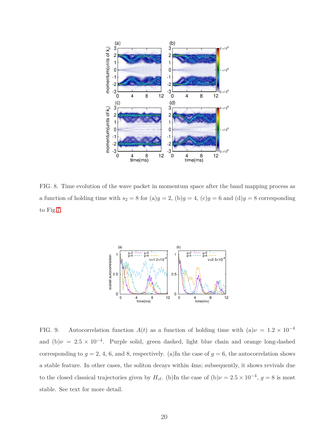

<span id="page-19-0"></span>FIG. 8. Time evolution of the wave packet in momentum space after the band mapping process as a function of holding time with  $s_2 = 8$  for (a) $g = 2$ , (b) $g = 4$ , (c) $g = 6$  and (d) $g = 8$  corresponding to Fig[.7.](#page-18-0)



<span id="page-19-1"></span>FIG. 9. Autocorrelation function  $A(t)$  as a function of holding time with  $(a)\nu = 1.2 \times 10^{-4}$ and  $(b)\nu = 2.5 \times 10^{-4}$ . Purple solid, green dashed, light blue chain and orange long-dashed corresponding to  $g = 2, 4, 6$ , and 8, respectively. (a)In the case of  $g = 6$ , the autocorrelation shows a stable feature. In other cases, the soliton decays within 4ms; subsequently, it shows revivals due to the closed classical trajectories given by  $H_{cl}$ . (b)In the case of (b) $\nu = 2.5 \times 10^{-4}$ ,  $g = 8$  is most stable. See text for more detail.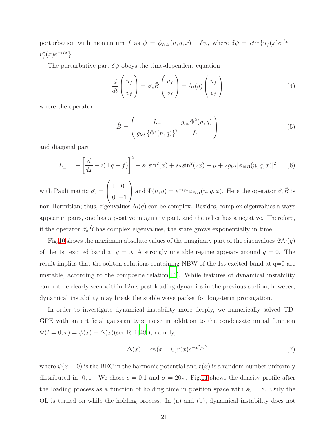perturbation with momentum *f* as  $\psi = \phi_{NB}(n, q, x) + \delta \psi$ , where  $\delta \psi = e^{iqx} \{ u_f(x) e^{ifx} +$ *v* ∗  $f(x)e^{-ifx}$ .

The perturbative part  $\delta\psi$  obeys the time-dependent equation

$$
\frac{d}{dt}\begin{pmatrix} u_f \\ v_f \end{pmatrix} = \hat{\sigma_z} \hat{B} \begin{pmatrix} u_f \\ v_f \end{pmatrix} = \Lambda_l(q) \begin{pmatrix} u_f \\ v_f \end{pmatrix}
$$
\n(4)

where the operator

$$
\hat{B} = \begin{pmatrix} L_+ & g_{lat}\Phi^2(n,q) \\ g_{lat}\left\{\Phi^*(n,q)\right\}^2 & L_- \end{pmatrix}
$$
\n(5)

and diagonal part

$$
L_{\pm} = -\left[\frac{d}{dx} + i(\pm q + f)\right]^2 + s_1 \sin^2(x) + s_2 \sin^2(2x) - \mu + 2g_{lat} |\phi_{NB}(n, q, x)|^2 \tag{6}
$$

with Pauli matrix  $\hat{\sigma}_z =$  $\sqrt{ }$  $\overline{ }$ 1 0  $0 -1$  $\setminus$ and  $\Phi(n,q) = e^{-iqx} \phi_{NB}(n,q,x)$ . Here the operator  $\hat{\sigma}_z \hat{B}$  is non-Hermitian; thus, eigenvalues  $\Lambda_l(q)$  can be complex. Besides, complex eigenvalues always appear in pairs, one has a positive imaginary part, and the other has a negative. Therefore, if the operator  $\hat{\sigma}_z \hat{B}$  has complex eigenvalues, the state grows exponentially in time.

Fig[.10](#page-21-0) shows the maximum absolute values of the imaginary part of the eigenvalues  $\Im\Lambda_l(q)$ of the 1st excited band at  $q = 0$ . A strongly unstable regime appears around  $q = 0$ . The result implies that the soliton solutions containing NBW of the 1st excited band at q=0 are unstable, according to the composite relation[\[13](#page-29-5)]. While features of dynamical instability can not be clearly seen within 12ms post-loading dynamics in the previous section, however, dynamical instability may break the stable wave packet for long-term propagation.

In order to investigate dynamical instability more deeply, we numerically solved TD-GPE with an artificial gaussian type noise in addition to the condensate initial function  $\Psi(t=0,x) = \psi(x) + \Delta(x)$ (see Ref.[\[48\]](#page-31-13)), namely,

$$
\Delta(x) = \epsilon \psi(x=0) r(x) e^{-x^2/\sigma^2}
$$
\n(7)

where  $\psi(x=0)$  is the BEC in the harmonic potential and  $r(x)$  is a random number uniformly distributed in [0, 1]. We chose  $\epsilon = 0.1$  and  $\sigma = 20\pi$ . Fig[.11](#page-21-1) shows the density profile after the loading process as a function of holding time in position space with  $s_2 = 8$ . Only the OL is turned on while the holding process. In (a) and (b), dynamical instability does not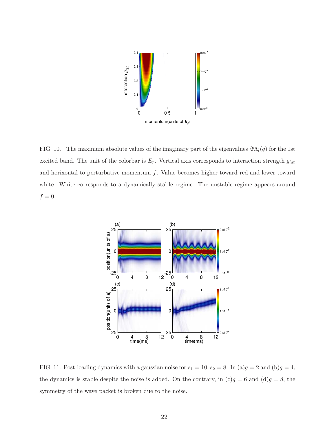

<span id="page-21-0"></span>FIG. 10. The maximum absolute values of the imaginary part of the eigenvalues  $\Im \Lambda_l(q)$  for the 1st excited band. The unit of the colorbar is  $E_r$ . Vertical axis corresponds to interaction strength  $g_{lat}$ and horixontal to perturbative momentum *f*. Value becomes higher toward red and lower toward white. White corresponds to a dynamically stable regime. The unstable regime appears around  $f = 0.$ 



<span id="page-21-1"></span>FIG. 11. Post-loading dynamics with a gaussian noise for  $s_1 = 10$ ,  $s_2 = 8$ . In (a) $g = 2$  and (b) $g = 4$ , the dynamics is stable despite the noise is added. On the contrary, in  $(c)g = 6$  and  $(d)g = 8$ , the symmetry of the wave packet is broken due to the noise.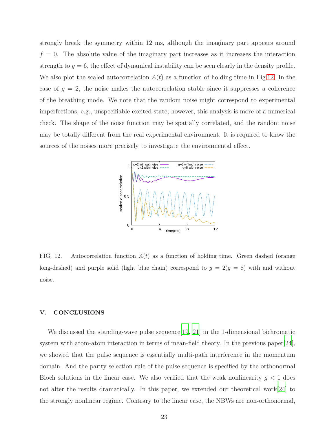strongly break the symmetry within 12 ms, although the imaginary part appears around  $f = 0$ . The absolute value of the imaginary part increases as it increases the interaction strength to  $g = 6$ , the effect of dynamical instability can be seen clearly in the density profile. We also plot the scaled autocorrelation  $A(t)$  as a function of holding time in Fig[.12.](#page-22-1) In the case of  $g = 2$ , the noise makes the autocorrelation stable since it suppresses a coherence of the breathing mode. We note that the random noise might correspond to experimental imperfections, e.g., unspecifiable excited state; however, this analysis is more of a numerical check. The shape of the noise function may be spatially correlated, and the random noise may be totally different from the real experimental environment. It is required to know the sources of the noises more precisely to investigate the environmental effect.



<span id="page-22-1"></span>FIG. 12. Autocorrelation function *A*(*t*) as a function of holding time. Green dashed (orange long-dashed) and purple solid (light blue chain) correspond to  $g = 2(g = 8)$  with and without noise.

## <span id="page-22-0"></span>**V. CONCLUSIONS**

We discussed the standing-wave pulse sequence [\[19,](#page-30-3) [21\]](#page-30-4) in the 1-dimensional bichromatic system with atom-atom interaction in terms of mean-field theory. In the previous paper[\[24\]](#page-30-7), we showed that the pulse sequence is essentially multi-path interference in the momentum domain. And the parity selection rule of the pulse sequence is specified by the orthonormal Bloch solutions in the linear case. We also verified that the weak nonlinearity  $g < 1$  does not alter the results dramatically. In this paper, we extended our theoretical work[\[24\]](#page-30-7) to the strongly nonlinear regime. Contrary to the linear case, the NBWs are non-orthonormal,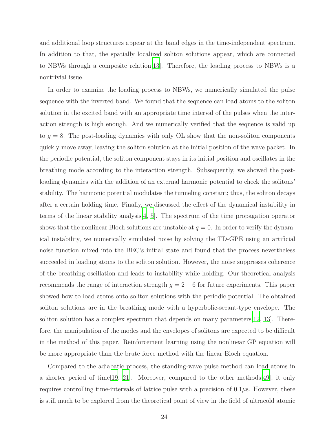and additional loop structures appear at the band edges in the time-independent spectrum. In addition to that, the spatially localized soliton solutions appear, which are connected to NBWs through a composite relation[\[13\]](#page-29-5). Therefore, the loading process to NBWs is a nontrivial issue.

In order to examine the loading process to NBWs, we numerically simulated the pulse sequence with the inverted band. We found that the sequence can load atoms to the soliton solution in the excited band with an appropriate time interval of the pulses when the interaction strength is high enough. And we numerically verified that the sequence is valid up to  $g = 8$ . The post-loading dynamics with only OL show that the non-soliton components quickly move away, leaving the soliton solution at the initial position of the wave packet. In the periodic potential, the soliton component stays in its initial position and oscillates in the breathing mode according to the interaction strength. Subsequently, we showed the postloading dynamics with the addition of an external harmonic potential to check the solitons' stability. The harmonic potential modulates the tunneling constant; thus, the soliton decays after a certain holding time. Finally, we discussed the effect of the dynamical instability in terms of the linear stability analysis  $[4, 5]$  $[4, 5]$  $[4, 5]$ . The spectrum of the time propagation operator shows that the nonlinear Bloch solutions are unstable at  $q = 0$ . In order to verify the dynamical instability, we numerically simulated noise by solving the TD-GPE using an artificial noise function mixed into the BEC's initial state and found that the process nevertheless succeeded in loading atoms to the soliton solution. However, the noise suppresses coherence of the breathing oscillation and leads to instability while holding. Our theoretical analysis recommends the range of interaction strength  $g = 2 - 6$  for future experiments. This paper showed how to load atoms onto soliton solutions with the periodic potential. The obtained soliton solutions are in the breathing mode with a hyperbolic-secant-type envelope. The soliton solution has a complex spectrum that depends on many parameters  $[12, 13]$  $[12, 13]$  $[12, 13]$  $[12, 13]$ . Therefore, the manipulation of the modes and the envelopes of solitons are expected to be difficult in the method of this paper. Reinforcement learning using the nonlinear GP equation will be more appropriate than the brute force method with the linear Bloch equation.

Compared to the adiabatic process, the standing-wave pulse method can load atoms in a shorter period of time[\[19](#page-30-3), [21](#page-30-4)]. Moreover, compared to the other methods[\[49\]](#page-31-14), it only requires controlling time-intervals of lattice pulse with a precision of 0*.*1*µ*s. However, there is still much to be explored from the theoretical point of view in the field of ultracold atomic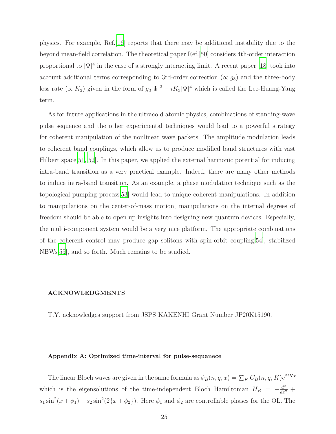physics. For example, Ref.[\[16\]](#page-30-0) reports that there may be additional instability due to the beyond mean-field correlation. The theoretical paper Ref.[\[50\]](#page-31-15) considers 4th-order interaction proportional to  $|\Psi|^4$  in the case of a strongly interacting limit. A recent paper [\[18\]](#page-30-2) took into account additional terms corresponding to 3rd-order correction  $(\propto g_3)$  and the three-body loss rate ( $\propto K_3$ ) given in the form of  $g_3|\Psi|^3 - iK_3|\Psi|^4$  which is called the Lee-Huang-Yang term.

As for future applications in the ultracold atomic physics, combinations of standing-wave pulse sequence and the other experimental techniques would lead to a powerful strategy for coherent manipulation of the nonlinear wave packets. The amplitude modulation leads to coherent band couplings, which allow us to produce modified band structures with vast Hilbert space[\[51](#page-32-0), [52\]](#page-32-1). In this paper, we applied the external harmonic potential for inducing intra-band transition as a very practical example. Indeed, there are many other methods to induce intra-band transition. As an example, a phase modulation technique such as the topological pumping process[\[53\]](#page-32-2) would lead to unique coherent manipulations. In addition to manipulations on the center-of-mass motion, manipulations on the internal degrees of freedom should be able to open up insights into designing new quantum devices. Especially, the multi-component system would be a very nice platform. The appropriate combinations of the coherent control may produce gap solitons with spin-orbit coupling[\[54\]](#page-32-3), stabilized NBWs[\[55\]](#page-32-4), and so forth. Much remains to be studied.

## **ACKNOWLEDGMENTS**

T.Y. acknowledges support from JSPS KAKENHI Grant Number JP20K15190.

### <span id="page-24-0"></span>**Appendix A: Optimized time-interval for pulse-sequanece**

The linear Bloch waves are given in the same formula as  $\phi_B(n, q, x) = \sum_K C_B(n, q, K)e^{2iKx}$ which is the eigensolutions of the time-independent Bloch Hamiltonian  $H_B = -\frac{d^2}{dx^2}$  +  $s_1 \sin^2(x + \phi_1) + s_2 \sin^2(2\{x + \phi_2\})$ . Here  $\phi_1$  and  $\phi_2$  are controllable phases for the OL. The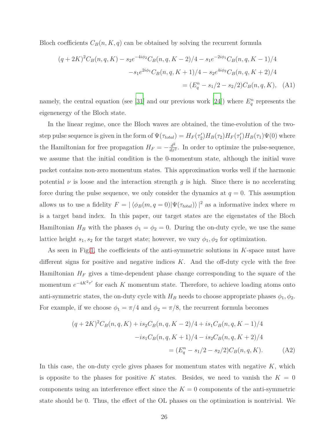Bloch coefficients  $C_B(n, K, q)$  can be obtained by solving the recurrent formula

$$
(q+2K)^2 C_B(n,q,K) - s_2 e^{-4i\phi_2} C_B(n,q,K-2)/4 - s_1 e^{-2i\phi_1} C_B(n,q,K-1)/4
$$

$$
-s_1 e^{2i\phi_1} C_B(n,q,K+1)/4 - s_2 e^{4i\phi_2} C_B(n,q,K+2)/4
$$

$$
= (E_q^n - s_1/2 - s_2/2) C_B(n,q,K), \quad (A1)
$$

namely, the central equation (see [\[31\]](#page-30-15) and our previous work [\[24](#page-30-7)]) where  $E_q^n$  represents the eigenenergy of the Bloch state.

In the linear regime, once the Bloch waves are obtained, the time-evolution of the twostep pulse sequence is given in the form of  $\Psi(\tau_{total}) = H_F(\tau_2)$ <sup>*l*</sup><sub>2</sub>)*H<sub>B</sub>*( $\tau$ <sub>2</sub>)*H<sub>F</sub>*( $\tau$ <sup>*l*</sup><sub>1</sub>  $J'_1$ ) $H_B(\tau_1)\Psi(0)$  where the Hamiltonian for free propagation  $H_F = -\frac{d^2}{dx^2}$ . In order to optimize the pulse-sequence, we assume that the initial condition is the 0-momentum state, although the initial wave packet contains non-zero momentum states. This approximation works well if the harmonic potential  $\nu$  is loose and the interaction strength *g* is high. Since there is no accelerating force during the pulse sequence, we only consider the dynamics at  $q = 0$ . This assumption allows us to use a fidelity  $F = |\langle \phi_B(m, q=0) | \Psi(\tau_{total}) \rangle|^2$  as a informative index where *m* is a target band index. In this paper, our target states are the eigenstates of the Bloch Hamiltonian  $H_B$  with the phases  $\phi_1 = \phi_2 = 0$ . During the on-duty cycle, we use the same lattice height  $s_1, s_2$  for the target state; however, we vary  $\phi_1, \phi_2$  for optimization.

As seen in Fig[.1,](#page-6-0) the coefficients of the anti-symmetric solutions in *K*-space must have different signs for positive and negative indices *K*. And the off-duty cycle with the free Hamiltonian  $H_F$  gives a time-dependent phase change corresponding to the square of the momentum  $e^{-4K^2\tau'}$  for each *K* momentum state. Therefore, to achieve loading atoms onto anti-symmetric states, the on-duty cycle with  $H_B$  needs to choose appropriate phases  $\phi_1, \phi_2$ . For example, if we choose  $\phi_1 = \pi/4$  and  $\phi_2 = \pi/8$ , the recurrent formula becomes

$$
(q+2K)^{2}C_{B}(n,q,K) + is_{2}C_{B}(n,q,K-2)/4 + is_{1}C_{B}(n,q,K-1)/4
$$

$$
-is_{1}C_{B}(n,q,K+1)/4 - is_{2}C_{B}(n,q,K+2)/4
$$

$$
= (E_{q}^{n} - s_{1}/2 - s_{2}/2)C_{B}(n,q,K). \tag{A2}
$$

In this case, the on-duty cycle gives phases for momentum states with negative *K*, which is opposite to the phases for positive *K* states. Besides, we need to vanish the  $K = 0$ components using an interference effect since the  $K = 0$  components of the anti-symmetric state should be 0. Thus, the effect of the OL phases on the optimization is nontrivial. We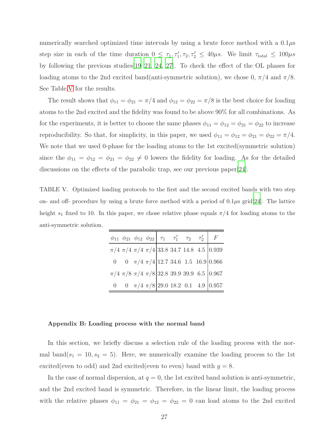numerically searched optimized time intervals by using a brute force method with a 0.1*µ*s step size in each of the time duration  $0 \leq \tau_1, \tau'_1, \tau_2, \tau'_2 \leq 40 \mu s$ . We limit  $\tau_{total} \leq 100 \mu s$ by following the previous studies[\[19](#page-30-3)[–21,](#page-30-4) [24,](#page-30-7) [27](#page-30-11)]. To check the effect of the OL phases for loading atoms to the 2nd excited band(anti-symmetric solution), we chose 0, *π/*4 and *π/*8. See Table[.V](#page-26-1) for the results.

The result shows that  $\phi_{11} = \phi_{21} = \pi/4$  and  $\phi_{12} = \phi_{22} = \pi/8$  is the best choice for loading atoms to the 2nd excited and the fidelity was found to be above 90% for all combinations. As for the experiments, it is better to choose the same phases  $\phi_{11} = \phi_{12} = \phi_{21} = \phi_{22}$  to increase reproducibility. So that, for simplicity, in this paper, we used  $\phi_{11} = \phi_{12} = \phi_{21} = \phi_{22} = \pi/4$ . We note that we used 0-phase for the loading atoms to the 1st excited(symmetric solution) since the  $\phi_{11} = \phi_{12} = \phi_{21} = \phi_{22} \neq 0$  lowers the fidelity for loading. As for the detailed discussions on the effects of the parabolic trap, see our previous paper[\[24\]](#page-30-7).

<span id="page-26-1"></span>TABLE V. Optimized loading protocols to the first and the second excited bands with two step on- and off- procedure by using a brute force method with a period of  $0.1\mu s$  grid[\[24](#page-30-7)]. The lattice height  $s_1$  fixed to 10. In this paper, we chose relative phase equals  $\pi/4$  for loading atoms to the anti-symmetric solution.

|  |  |  | $\phi_{11}$ $\phi_{21}$ $\phi_{12}$ $\phi_{22}$ $\tau_1$ $\tau_1'$ $\tau_2$ $\tau_2'$ $F$ |                                                    |
|--|--|--|-------------------------------------------------------------------------------------------|----------------------------------------------------|
|  |  |  |                                                                                           | $\pi/4 \pi/4 \pi/4 \pi/4$ 33.8 34.7 14.8 4.5 0.939 |
|  |  |  |                                                                                           | 0 0 $\pi/4 \pi/4$ 12.7 34.6 1.5 16.9 0.966         |
|  |  |  |                                                                                           | $\pi/4 \pi/8 \pi/4 \pi/8$ 32.8 39.9 39.9 6.5 0.967 |
|  |  |  |                                                                                           | 0 0 $\pi/4 \pi/8$ 29.0 18.2 0.1 4.9 0.957          |

#### <span id="page-26-0"></span>**Appendix B: Loading process with the normal band**

In this section, we briefly discuss a selection rule of the loading process with the normal band( $s_1 = 10, s_2 = 5$ ). Here, we numerically examine the loading process to the 1st excited(even to odd) and 2nd excited(even to even) band with  $g = 8$ .

In the case of normal dispersion, at  $q = 0$ , the 1st excited band solution is anti-symmetric, and the 2nd excited band is symmetric. Therefore, in the linear limit, the loading process with the relative phases  $\phi_{11} = \phi_{21} = \phi_{12} = \phi_{22} = 0$  can load atoms to the 2nd excited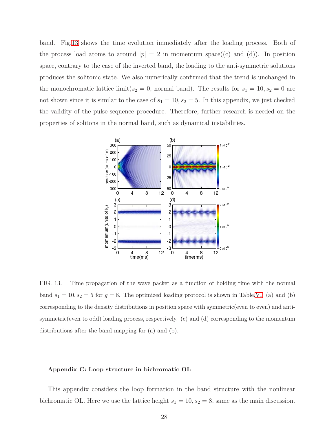band. Fig[.13](#page-27-1) shows the time evolution immediately after the loading process. Both of the process load atoms to around  $|p| = 2$  in momentum space((c) and (d)). In position space, contrary to the case of the inverted band, the loading to the anti-symmetric solutions produces the solitonic state. We also numerically confirmed that the trend is unchanged in the monochromatic lattice limit( $s_2 = 0$ , normal band). The results for  $s_1 = 10, s_2 = 0$  are not shown since it is similar to the case of  $s_1 = 10, s_2 = 5$ . In this appendix, we just checked the validity of the pulse-sequence procedure. Therefore, further research is needed on the properties of solitons in the normal band, such as dynamical instabilities.



<span id="page-27-1"></span>FIG. 13. Time propagation of the wave packet as a function of holding time with the normal band  $s_1 = 10, s_2 = 5$  for  $g = 8$ . The optimized loading protocol is shown in Table[.VI.](#page-28-7) (a) and (b) corresponding to the density distributions in position space with symmetric(even to even) and antisymmetric(even to odd) loading process, respectively. (c) and (d) corresponding to the momentum distributions after the band mapping for (a) and (b).

#### <span id="page-27-0"></span>**Appendix C: Loop structure in bichromatic OL**

This appendix considers the loop formation in the band structure with the nonlinear bichromatic OL. Here we use the lattice height  $s_1 = 10, s_2 = 8$ , same as the main discussion.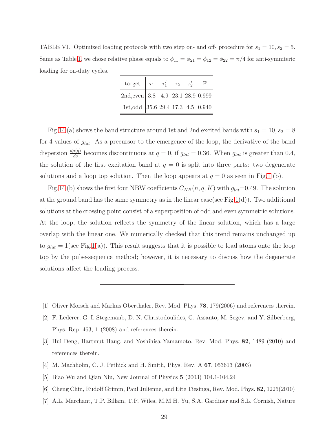<span id="page-28-7"></span>TABLE VI. Optimized loading protocols with two step on- and off- procedure for  $s_1 = 10, s_2 = 5$ . Same as Table[.I,](#page-9-0) we chose relative phase equals to  $\phi_{11} = \phi_{21} = \phi_{12} = \phi_{22} = \pi/4$  for anti-symmteric loading for on-duty cycles.

| target $\tau_1$ $\tau_1'$ $\tau_2$ $\tau_2'$ |  |  |  |
|----------------------------------------------|--|--|--|
| 2nd, even 3.8 4.9 23.1 28.9 0.999            |  |  |  |
| 1st, odd 35.6 29.4 17.3 4.5 0.940            |  |  |  |

Fig[.14](#page-29-8) (a) shows the band structure around 1st and 2nd excited bands with  $s_1 = 10, s_2 = 8$ for 4 values of *glat*. As a precursor to the emergence of the loop, the derivative of the band dispersion  $\frac{d\mu(q)}{dq}$  becomes discontinuous at  $q = 0$ , if  $g_{lat} = 0.36$ . When  $g_{lat}$  is greater than 0.4, the solution of the first excitation band at  $q = 0$  is split into three parts: two degenerate solutions and a loop top solution. Then the loop appears at  $q = 0$  as seen in Fig[.1](#page-6-0) (b).

Fig[.14](#page-29-8) (b) shows the first four NBW coefficients  $C_{NB}(n, q, K)$  with  $g_{lat}=0.49$ . The solution at the ground band has the same symmetry as in the linear case (see Fig[.1\(](#page-6-0)d)). Two additional solutions at the crossing point consist of a superposition of odd and even symmetric solutions. At the loop, the solution reflects the symmetry of the linear solution, which has a large overlap with the linear one. We numerically checked that this trend remains unchanged up to  $g_{lat} = 1$ (see Fig[.1\(](#page-6-0)a)). This result suggests that it is possible to load atoms onto the loop top by the pulse-sequence method; however, it is necessary to discuss how the degenerate solutions affect the loading process.

- <span id="page-28-6"></span><span id="page-28-0"></span>[1] Oliver Morsch and Markus Oberthaler, Rev. Mod. Phys. **78**, 179(2006) and references therein.
- [2] F. Lederer, G. I. Stegemanb, D. N. Christodoulides, G. Assanto, M. Segev, and Y. Silberberg, Phys. Rep. 463, **1** (2008) and references therein.
- <span id="page-28-1"></span>[3] Hui Deng, Hartmut Haug, and Yoshihisa Yamamoto, Rev. Mod. Phys. **82**, 1489 (2010) and references therein.
- <span id="page-28-2"></span>[4] M. Machholm, C. J. Pethick and H. Smith, Phys. Rev. A **67**, 053613 (2003)
- <span id="page-28-3"></span>[5] Biao Wu and Qian Niu, New Journal of Physics **5** (2003) 104.1-104.24
- <span id="page-28-4"></span>[6] Cheng Chin, Rudolf Grimm, Paul Julienne, and Eite Tiesinga, Rev. Mod. Phys. **82**, 1225(2010)
- <span id="page-28-5"></span>[7] A.L. Marchant, T.P. Billam, T.P. Wiles, M.M.H. Yu, S.A. Gardiner and S.L. Cornish, Nature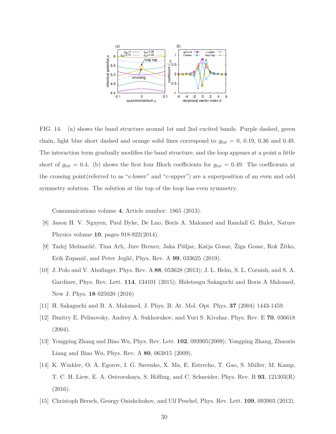

<span id="page-29-8"></span>FIG. 14. (a) shows the band structure around 1st and 2nd excited bands. Purple dashed, green chain, light blue short dashed and orange solid lines correspond to  $g_{lat} = 0$ , 0.19, 0.36 and 0.49. The interaction term gradually modifies the band structure, and the loop appears at a point a little short of  $g_{lat} = 0.4$ . (b) shows the first four Bloch coefficients for  $g_{lat} = 0.49$ . The coefficients at the crossing point(referred to as "c-lower" and "c-upper") are a superposition of an even and odd symmetry solution. The solution at the top of the loop has even symmetry.

Communications volume **4**, Article number: 1865 (2013).

- <span id="page-29-0"></span>[8] Jason H. V. Nguyen, Paul Dyke, De Luo, Boris A. Malomed and Randall G. Hulet, Nature Physics volume **10**, pages 918-922(2014).
- <span id="page-29-1"></span>[9] Tadej Mežnaršič, Tina Arh, Jure Brence, Jaka Pišljar, Katja Gosar, Žiga Gosar, Rok Žitko, Erik Zupanič, and Peter Jeglič, Phys. Rev. A **99**, 033625 (2019).
- <span id="page-29-2"></span>[10] J. Polo and V. Ahufinger, Phys. Rev. A **88**, 053628 (2013); J. L. Helm, S. L. Cornish, and S. A. Gardiner, Phys. Rev. Lett. **114**, 134101 (2015); Hidetsugu Sakaguchi and Boris A Malomed, New J. Phys. **18** 025020 (2016)
- <span id="page-29-4"></span><span id="page-29-3"></span>[11] H. Sakaguchi and B. A. Malomed, J. Phys. B: At. Mol. Opt. Phys. **37** (2004) 1443-1459.
- [12] Dmitry E. Pelinovsky, Andrey A. Sukhorukov, and Yuri S. Kivshar, Phys. Rev. E **70**, 036618 (2004).
- <span id="page-29-5"></span>[13] Yongping Zhang and Biao Wu, Phys. Rev. Lett. **102**, 093905(2009); Yongping Zhang, Zhaoxin Liang and Biao Wu, Phys. Rev. A **80**, 063815 (2009).
- <span id="page-29-6"></span>[14] K. Winkler, O. A. Egorov, I. G. Savenko, X. Ma, E. Estrecho, T. Gao, S. Müller, M. Kamp, T. C. H. Liew, E. A. Ostrovskaya, S. Höfling, and C. Schneider, Phys. Rev. B **93**, 121303(R) (2016).
- <span id="page-29-7"></span>[15] Christoph Bersch, Georgy Onishchukov, and Ulf Peschel, Phys. Rev. Lett. **109**, 093903 (2012).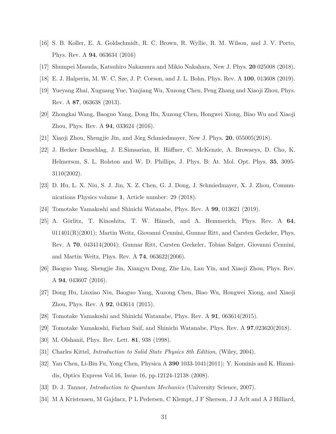- <span id="page-30-0"></span>[16] S. B. Koller, E. A. Goldschmidt, R. C. Brown, R. Wyllie, R. M. Wilson, and J. V. Porto, Phys. Rev. A **94**, 063634 (2016)
- <span id="page-30-2"></span><span id="page-30-1"></span>[17] Shumpei Masuda, Katsuhiro Nakamura and Mikio Nakahara, New J. Phys. **20** 025008 (2018).
- <span id="page-30-3"></span>[18] E. J. Halperin, M. W. C. Sze, J. P. Corson, and J. L. Bohn, Phys. Rev. A **100**, 013608 (2019).
- [19] Yueyang Zhai, Xuguang Yue, Yanjiang Wu, Xuzong Chen, Peng Zhang and Xiaoji Zhou, Phys. Rev. A **87**, 063638 (2013).
- <span id="page-30-9"></span>[20] Zhongkai Wang, Baoguo Yang, Dong Hu, Xuzong Chen, Hongwei Xiong, Biao Wu and Xiaoji Zhou, Phys. Rev. A **94**, 033624 (2016).
- <span id="page-30-5"></span><span id="page-30-4"></span>[21] Xiaoji Zhou, Shengjie Jin, and Jörg Schmiedmayer, New J. Phys. **20**, 055005(2018).
- [22] J. Hecker Denschlag, J. E.Simsarian, H. Häffner, C. McKenzie, A. Browaeys, D. Cho, K. Helmerson, S. L. Rolston and W. D. Phillips, J. Phys. B: At. Mol. Opt. Phys. **35**, 3095- 3110(2002).
- <span id="page-30-6"></span>[23] D. Hu, L. X. Niu, S. J. Jin, X. Z. Chen, G. J. Dong, J. Schmiedmayer, X. J. Zhou, Communications Physics volume **1**, Article number: 29 (2018).
- <span id="page-30-7"></span>[24] Tomotake Yamakoshi and Shinichi Watanabe, Phys. Rev. A **99**, 013621 (2019).
- <span id="page-30-8"></span>[25] A. Görlitz, T. Kinoshita, T. W. Hänsch, and A. Hemmerich, Phys. Rev. A **64**, 011401(R)(2001); Martin Weitz, Giovanni Cennini, Gunnar Ritt, and Carsten Geckeler, Phys. Rev. A **70**, 043414(2004); Gunnar Ritt, Carsten Geckeler, Tobias Salger, Giovanni Cennini, and Martin Weitz, Phys. Rev. A **74**, 063622(2006).
- <span id="page-30-10"></span>[26] Baoguo Yang, Shengjie Jin, Xiangyu Dong, Zhe Liu, Lan Yin, and Xiaoji Zhou, Phys. Rev. A **94**, 043607 (2016).
- <span id="page-30-11"></span>[27] Dong Hu, Linxiao Niu, Baoguo Yang, Xuzong Chen, Biao Wu, Hongwei Xiong, and Xiaoji Zhou, Phys. Rev. A **92**, 043614 (2015).
- <span id="page-30-12"></span>[28] Tomotake Yamakoshi and Shinichi Watanabe, Phys. Rev. A **91**, 063614(2015).
- <span id="page-30-13"></span>[29] Tomotake Yamakoshi, Farhan Saif, and Shinichi Watanabe, Phys. Rev. A **97**,023620(2018).
- <span id="page-30-14"></span>[30] M. Olshanii, Phys. Rev. Lett. **81**, 938 (1998).
- <span id="page-30-15"></span>[31] Charles Kittel, *Introduction to Solid State Physics 8th Edition*, (Wiley, 2004).
- <span id="page-30-16"></span>[32] Yan Chen, Li-Bin Fu, Yong Chen, Physica A **390** 1033-1041(2011); Y. Kominis and K. Hizanidis, Optics Express Vol.16, Issue 16, pp.12124-12138 (2008).
- <span id="page-30-17"></span>[33] D. J. Tannor, *Introduction to Quantum Mechanics* (University Science, 2007).
- <span id="page-30-18"></span>[34] M A Kristensen, M Gajdacz, P L Pedersen, C Klempt, J F Sherson, J J Arlt and A J Hilliard,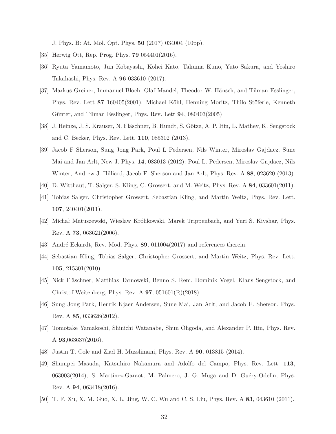J. Phys. B: At. Mol. Opt. Phys. **50** (2017) 034004 (10pp).

- <span id="page-31-1"></span><span id="page-31-0"></span>[35] Herwig Ott, Rep. Prog. Phys. **79** 054401(2016).
- [36] Ryuta Yamamoto, Jun Kobayashi, Kohei Kato, Takuma Kuno, Yuto Sakura, and Yoshiro Takahashi, Phys. Rev. A **96** 033610 (2017).
- <span id="page-31-2"></span>[37] Markus Greiner, Immanuel Bloch, Olaf Mandel, Theodor W. Hänsch, and Tilman Esslinger, Phys. Rev. Lett **87** 160405(2001); Michael Köhl, Henning Moritz, Thilo Stöferle, Kenneth Günter, and Tilman Esslinger, Phys. Rev. Lett **94**, 080403(2005)
- <span id="page-31-11"></span>[38] J. Heinze, J. S. Krauser, N. Fläschner, B. Hundt, S. Götze, A. P. Itin, L. Mathey, K. Sengstock and C. Becker, Phys. Rev. Lett. **110**, 085302 (2013).
- <span id="page-31-3"></span>[39] Jacob F Sherson, Sung Jong Park, Poul L Pedersen, Nils Winter, Miroslav Gajdacz, Sune Mai and Jan Arlt, New J. Phys. **14**, 083013 (2012); Poul L. Pedersen, Miroslav Gajdacz, Nils Winter, Andrew J. Hilliard, Jacob F. Sherson and Jan Arlt, Phys. Rev. A **88**, 023620 (2013).
- <span id="page-31-5"></span><span id="page-31-4"></span>[40] D. Witthaut, T. Salger, S. Kling, C. Grossert, and M. Weitz, Phys. Rev. A **84**, 033601(2011).
- [41] Tobias Salger, Christopher Grossert, Sebastian Kling, and Martin Weitz, Phys. Rev. Lett. **107**, 240401(2011).
- <span id="page-31-6"></span>[42] Michał Matuszewski, Wieslaw Królikowski, Marek Trippenbach, and Yuri S. Kivshar, Phys. Rev. A **73**, 063621(2006).
- <span id="page-31-7"></span>[43] André Eckardt, Rev. Mod. Phys. **89**, 011004(2017) and references therein.
- <span id="page-31-8"></span>[44] Sebastian Kling, Tobias Salger, Christopher Grossert, and Martin Weitz, Phys. Rev. Lett. **105**, 215301(2010).
- <span id="page-31-9"></span>[45] Nick Fläschner, Matthias Tarnowski, Benno S. Rem, Dominik Vogel, Klaus Sengstock, and Christof Weitenberg, Phys. Rev. A **97**, 051601(R)(2018).
- <span id="page-31-10"></span>[46] Sung Jong Park, Henrik Kjaer Andersen, Sune Mai, Jan Arlt, and Jacob F. Sherson, Phys. Rev. A **85**, 033626(2012).
- <span id="page-31-12"></span>[47] Tomotake Yamakoshi, Shinichi Watanabe, Shun Ohgoda, and Alexander P. Itin, Phys. Rev. A **93**,063637(2016).
- <span id="page-31-13"></span>[48] Justin T. Cole and Ziad H. Musslimani, Phys. Rev. A **90**, 013815 (2014).
- <span id="page-31-14"></span>[49] Shumpei Masuda, Katsuhiro Nakamura and Adolfo del Campo, Phys. Rev. Lett. **113**, 063003(2014); S. Martínez-Garaot, M. Palmero, J. G. Muga and D. Guéry-Odelin, Phys. Rev. A **94**, 063418(2016).
- <span id="page-31-15"></span>[50] T. F. Xu, X. M. Guo, X. L. Jing, W. C. Wu and C. S. Liu, Phys. Rev. A **83**, 043610 (2011).